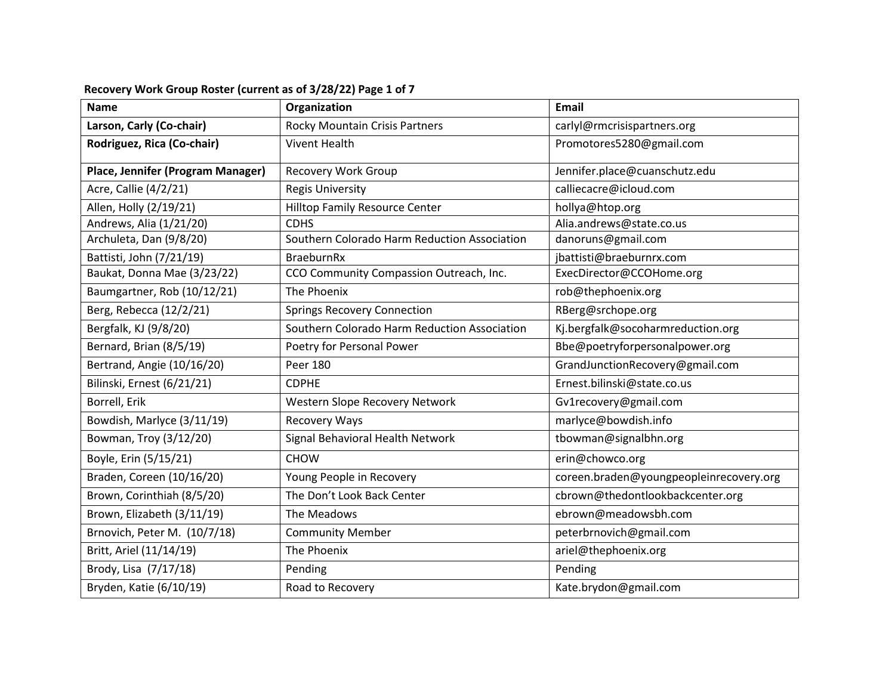| <b>Name</b>                       | Organization                                 | <b>Email</b>                            |
|-----------------------------------|----------------------------------------------|-----------------------------------------|
| Larson, Carly (Co-chair)          | Rocky Mountain Crisis Partners               | carlyl@rmcrisispartners.org             |
| Rodriguez, Rica (Co-chair)        | <b>Vivent Health</b>                         | Promotores5280@gmail.com                |
| Place, Jennifer (Program Manager) | <b>Recovery Work Group</b>                   | Jennifer.place@cuanschutz.edu           |
| Acre, Callie (4/2/21)             | <b>Regis University</b>                      | calliecacre@icloud.com                  |
| Allen, Holly (2/19/21)            | Hilltop Family Resource Center               | hollya@htop.org                         |
| Andrews, Alia (1/21/20)           | <b>CDHS</b>                                  | Alia.andrews@state.co.us                |
| Archuleta, Dan (9/8/20)           | Southern Colorado Harm Reduction Association | danoruns@gmail.com                      |
| Battisti, John (7/21/19)          | BraeburnRx                                   | jbattisti@braeburnrx.com                |
| Baukat, Donna Mae (3/23/22)       | CCO Community Compassion Outreach, Inc.      | ExecDirector@CCOHome.org                |
| Baumgartner, Rob (10/12/21)       | The Phoenix                                  | rob@thephoenix.org                      |
| Berg, Rebecca (12/2/21)           | <b>Springs Recovery Connection</b>           | RBerg@srchope.org                       |
| Bergfalk, KJ (9/8/20)             | Southern Colorado Harm Reduction Association | Kj.bergfalk@socoharmreduction.org       |
| Bernard, Brian (8/5/19)           | Poetry for Personal Power                    | Bbe@poetryforpersonalpower.org          |
| Bertrand, Angie (10/16/20)        | Peer 180                                     | GrandJunctionRecovery@gmail.com         |
| Bilinski, Ernest (6/21/21)        | <b>CDPHE</b>                                 | Ernest.bilinski@state.co.us             |
| Borrell, Erik                     | Western Slope Recovery Network               | Gv1recovery@gmail.com                   |
| Bowdish, Marlyce (3/11/19)        | <b>Recovery Ways</b>                         | marlyce@bowdish.info                    |
| Bowman, Troy (3/12/20)            | Signal Behavioral Health Network             | tbowman@signalbhn.org                   |
| Boyle, Erin (5/15/21)             | <b>CHOW</b>                                  | erin@chowco.org                         |
| Braden, Coreen (10/16/20)         | Young People in Recovery                     | coreen.braden@youngpeopleinrecovery.org |
| Brown, Corinthiah (8/5/20)        | The Don't Look Back Center                   | cbrown@thedontlookbackcenter.org        |
| Brown, Elizabeth (3/11/19)        | The Meadows                                  | ebrown@meadowsbh.com                    |
| Brnovich, Peter M. (10/7/18)      | <b>Community Member</b>                      | peterbrnovich@gmail.com                 |
| Britt, Ariel (11/14/19)           | The Phoenix                                  | ariel@thephoenix.org                    |
| Brody, Lisa (7/17/18)             | Pending                                      | Pending                                 |
| Bryden, Katie (6/10/19)           | Road to Recovery                             | Kate.brydon@gmail.com                   |

## **Recovery Work Group Roster (current as of 3/28/22) Page 1 of 7**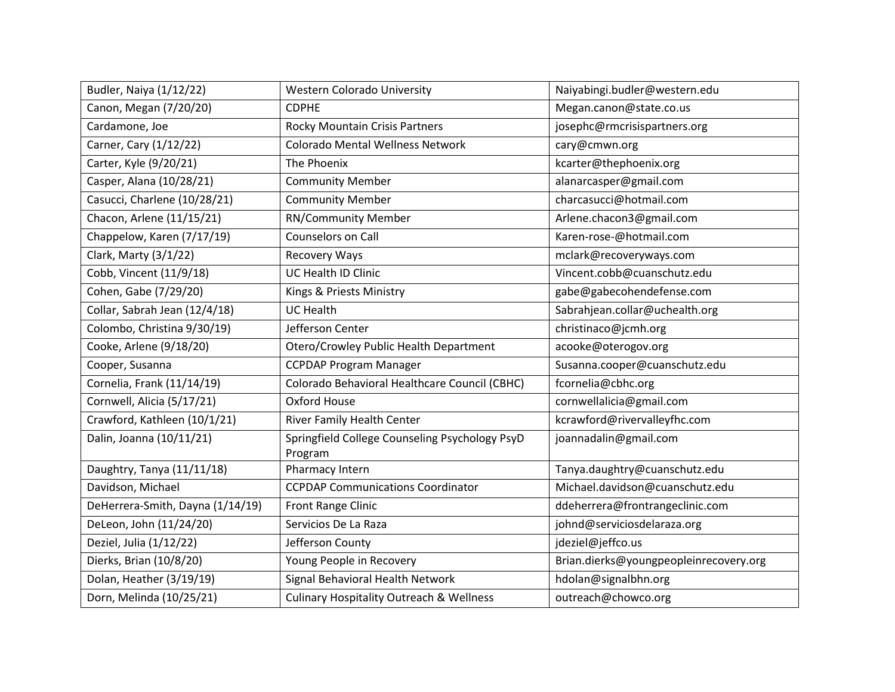| Budler, Naiya (1/12/22)          | Western Colorado University                               | Naiyabingi.budler@western.edu          |
|----------------------------------|-----------------------------------------------------------|----------------------------------------|
| Canon, Megan (7/20/20)           | <b>CDPHE</b>                                              | Megan.canon@state.co.us                |
| Cardamone, Joe                   | <b>Rocky Mountain Crisis Partners</b>                     | josephc@rmcrisispartners.org           |
| Carner, Cary (1/12/22)           | <b>Colorado Mental Wellness Network</b>                   | cary@cmwn.org                          |
| Carter, Kyle (9/20/21)           | The Phoenix                                               | kcarter@thephoenix.org                 |
| Casper, Alana (10/28/21)         | <b>Community Member</b>                                   | alanarcasper@gmail.com                 |
| Casucci, Charlene (10/28/21)     | <b>Community Member</b>                                   | charcasucci@hotmail.com                |
| Chacon, Arlene (11/15/21)        | RN/Community Member                                       | Arlene.chacon3@gmail.com               |
| Chappelow, Karen (7/17/19)       | Counselors on Call                                        | Karen-rose-@hotmail.com                |
| Clark, Marty (3/1/22)            | Recovery Ways                                             | mclark@recoveryways.com                |
| Cobb, Vincent (11/9/18)          | <b>UC Health ID Clinic</b>                                | Vincent.cobb@cuanschutz.edu            |
| Cohen, Gabe (7/29/20)            | Kings & Priests Ministry                                  | gabe@gabecohendefense.com              |
| Collar, Sabrah Jean (12/4/18)    | <b>UC Health</b>                                          | Sabrahjean.collar@uchealth.org         |
| Colombo, Christina 9/30/19)      | Jefferson Center                                          | christinaco@jcmh.org                   |
| Cooke, Arlene (9/18/20)          | Otero/Crowley Public Health Department                    | acooke@oterogov.org                    |
| Cooper, Susanna                  | <b>CCPDAP Program Manager</b>                             | Susanna.cooper@cuanschutz.edu          |
| Cornelia, Frank (11/14/19)       | Colorado Behavioral Healthcare Council (CBHC)             | fcornelia@cbhc.org                     |
| Cornwell, Alicia (5/17/21)       | Oxford House                                              | cornwellalicia@gmail.com               |
| Crawford, Kathleen (10/1/21)     | River Family Health Center                                | kcrawford@rivervalleyfhc.com           |
| Dalin, Joanna (10/11/21)         | Springfield College Counseling Psychology PsyD<br>Program | joannadalin@gmail.com                  |
| Daughtry, Tanya (11/11/18)       | Pharmacy Intern                                           | Tanya.daughtry@cuanschutz.edu          |
| Davidson, Michael                | <b>CCPDAP Communications Coordinator</b>                  | Michael.davidson@cuanschutz.edu        |
| DeHerrera-Smith, Dayna (1/14/19) | Front Range Clinic                                        | ddeherrera@frontrangeclinic.com        |
| DeLeon, John (11/24/20)          | Servicios De La Raza                                      | johnd@serviciosdelaraza.org            |
| Deziel, Julia (1/12/22)          | Jefferson County                                          | jdeziel@jeffco.us                      |
| Dierks, Brian (10/8/20)          | Young People in Recovery                                  | Brian.dierks@youngpeopleinrecovery.org |
| Dolan, Heather (3/19/19)         | Signal Behavioral Health Network                          | hdolan@signalbhn.org                   |
| Dorn, Melinda (10/25/21)         | <b>Culinary Hospitality Outreach &amp; Wellness</b>       | outreach@chowco.org                    |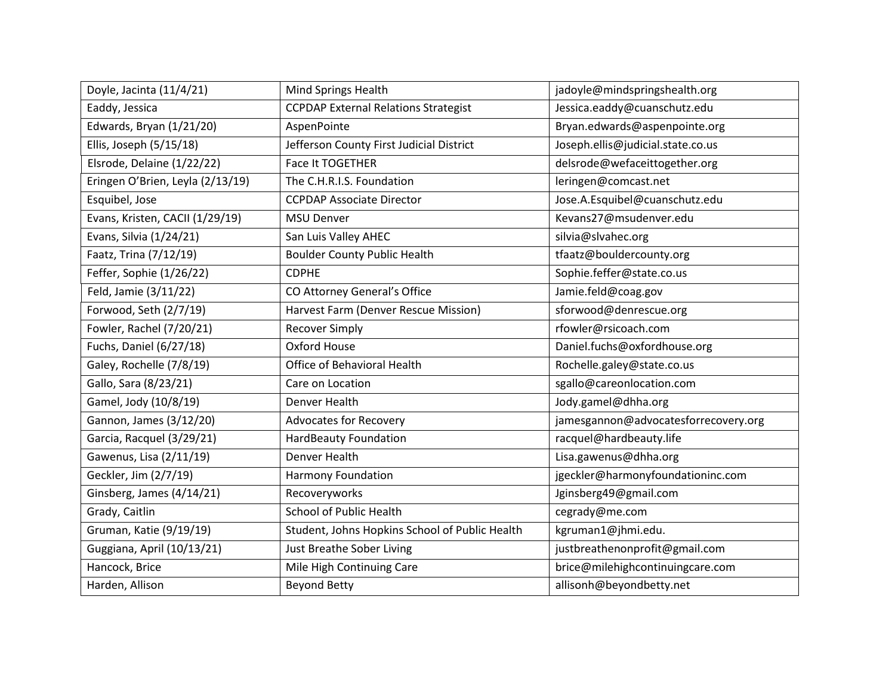| Doyle, Jacinta (11/4/21)         | <b>Mind Springs Health</b>                     | jadoyle@mindspringshealth.org        |
|----------------------------------|------------------------------------------------|--------------------------------------|
| Eaddy, Jessica                   | <b>CCPDAP External Relations Strategist</b>    | Jessica.eaddy@cuanschutz.edu         |
| Edwards, Bryan (1/21/20)         | AspenPointe                                    | Bryan.edwards@aspenpointe.org        |
| Ellis, Joseph (5/15/18)          | Jefferson County First Judicial District       | Joseph.ellis@judicial.state.co.us    |
| Elsrode, Delaine (1/22/22)       | Face It TOGETHER                               | delsrode@wefaceittogether.org        |
| Eringen O'Brien, Leyla (2/13/19) | The C.H.R.I.S. Foundation                      | leringen@comcast.net                 |
| Esquibel, Jose                   | <b>CCPDAP Associate Director</b>               | Jose.A.Esquibel@cuanschutz.edu       |
| Evans, Kristen, CACII (1/29/19)  | <b>MSU Denver</b>                              | Kevans27@msudenver.edu               |
| Evans, Silvia (1/24/21)          | San Luis Valley AHEC                           | silvia@slvahec.org                   |
| Faatz, Trina (7/12/19)           | <b>Boulder County Public Health</b>            | tfaatz@bouldercounty.org             |
| Feffer, Sophie (1/26/22)         | <b>CDPHE</b>                                   | Sophie.feffer@state.co.us            |
| Feld, Jamie (3/11/22)            | CO Attorney General's Office                   | Jamie.feld@coag.gov                  |
| Forwood, Seth (2/7/19)           | Harvest Farm (Denver Rescue Mission)           | sforwood@denrescue.org               |
| Fowler, Rachel (7/20/21)         | <b>Recover Simply</b>                          | rfowler@rsicoach.com                 |
| Fuchs, Daniel (6/27/18)          | Oxford House                                   | Daniel.fuchs@oxfordhouse.org         |
| Galey, Rochelle (7/8/19)         | Office of Behavioral Health                    | Rochelle.galey@state.co.us           |
| Gallo, Sara (8/23/21)            | Care on Location                               | sgallo@careonlocation.com            |
| Gamel, Jody (10/8/19)            | Denver Health                                  | Jody.gamel@dhha.org                  |
| Gannon, James (3/12/20)          | <b>Advocates for Recovery</b>                  | jamesgannon@advocatesforrecovery.org |
| Garcia, Racquel (3/29/21)        | <b>HardBeauty Foundation</b>                   | racquel@hardbeauty.life              |
| Gawenus, Lisa (2/11/19)          | Denver Health                                  | Lisa.gawenus@dhha.org                |
| Geckler, Jim (2/7/19)            | Harmony Foundation                             | jgeckler@harmonyfoundationinc.com    |
| Ginsberg, James (4/14/21)        | Recoveryworks                                  | Jginsberg49@gmail.com                |
| Grady, Caitlin                   | School of Public Health                        | cegrady@me.com                       |
| Gruman, Katie (9/19/19)          | Student, Johns Hopkins School of Public Health | kgruman1@jhmi.edu.                   |
| Guggiana, April (10/13/21)       | Just Breathe Sober Living                      | justbreathenonprofit@gmail.com       |
| Hancock, Brice                   | Mile High Continuing Care                      | brice@milehighcontinuingcare.com     |
| Harden, Allison                  | <b>Beyond Betty</b>                            | allisonh@beyondbetty.net             |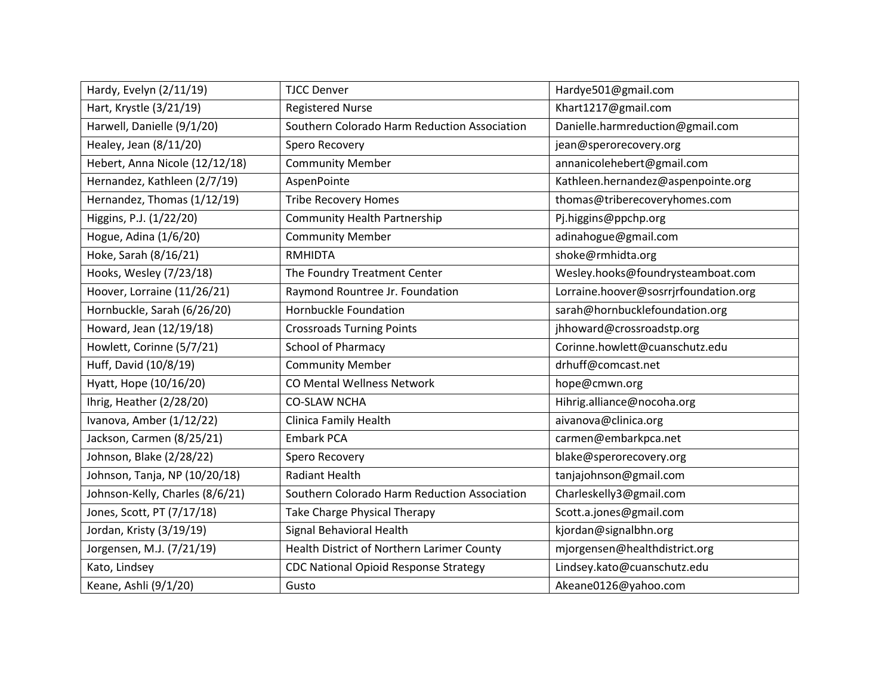| Hardy, Evelyn (2/11/19)         | <b>TJCC Denver</b>                           | Hardye501@gmail.com                   |
|---------------------------------|----------------------------------------------|---------------------------------------|
| Hart, Krystle (3/21/19)         | <b>Registered Nurse</b>                      | Khart1217@gmail.com                   |
| Harwell, Danielle (9/1/20)      | Southern Colorado Harm Reduction Association | Danielle.harmreduction@gmail.com      |
| Healey, Jean (8/11/20)          | Spero Recovery                               | jean@sperorecovery.org                |
| Hebert, Anna Nicole (12/12/18)  | <b>Community Member</b>                      | annanicolehebert@gmail.com            |
| Hernandez, Kathleen (2/7/19)    | AspenPointe                                  | Kathleen.hernandez@aspenpointe.org    |
| Hernandez, Thomas (1/12/19)     | <b>Tribe Recovery Homes</b>                  | thomas@triberecoveryhomes.com         |
| Higgins, P.J. (1/22/20)         | <b>Community Health Partnership</b>          | Pj.higgins@ppchp.org                  |
| Hogue, Adina (1/6/20)           | <b>Community Member</b>                      | adinahogue@gmail.com                  |
| Hoke, Sarah (8/16/21)           | <b>RMHIDTA</b>                               | shoke@rmhidta.org                     |
| Hooks, Wesley (7/23/18)         | The Foundry Treatment Center                 | Wesley.hooks@foundrysteamboat.com     |
| Hoover, Lorraine (11/26/21)     | Raymond Rountree Jr. Foundation              | Lorraine.hoover@sosrrjrfoundation.org |
| Hornbuckle, Sarah (6/26/20)     | Hornbuckle Foundation                        | sarah@hornbucklefoundation.org        |
| Howard, Jean (12/19/18)         | <b>Crossroads Turning Points</b>             | jhhoward@crossroadstp.org             |
| Howlett, Corinne (5/7/21)       | School of Pharmacy                           | Corinne.howlett@cuanschutz.edu        |
| Huff, David (10/8/19)           | <b>Community Member</b>                      | drhuff@comcast.net                    |
| Hyatt, Hope (10/16/20)          | CO Mental Wellness Network                   | hope@cmwn.org                         |
| Ihrig, Heather (2/28/20)        | <b>CO-SLAW NCHA</b>                          | Hihrig.alliance@nocoha.org            |
| Ivanova, Amber (1/12/22)        | Clinica Family Health                        | aivanova@clinica.org                  |
| Jackson, Carmen (8/25/21)       | <b>Embark PCA</b>                            | carmen@embarkpca.net                  |
| Johnson, Blake (2/28/22)        | Spero Recovery                               | blake@sperorecovery.org               |
| Johnson, Tanja, NP (10/20/18)   | Radiant Health                               | tanjajohnson@gmail.com                |
| Johnson-Kelly, Charles (8/6/21) | Southern Colorado Harm Reduction Association | Charleskelly3@gmail.com               |
| Jones, Scott, PT (7/17/18)      | Take Charge Physical Therapy                 | Scott.a.jones@gmail.com               |
| Jordan, Kristy (3/19/19)        | Signal Behavioral Health                     | kjordan@signalbhn.org                 |
| Jorgensen, M.J. (7/21/19)       | Health District of Northern Larimer County   | mjorgensen@healthdistrict.org         |
| Kato, Lindsey                   | <b>CDC National Opioid Response Strategy</b> | Lindsey.kato@cuanschutz.edu           |
| Keane, Ashli (9/1/20)           | Gusto                                        | Akeane0126@yahoo.com                  |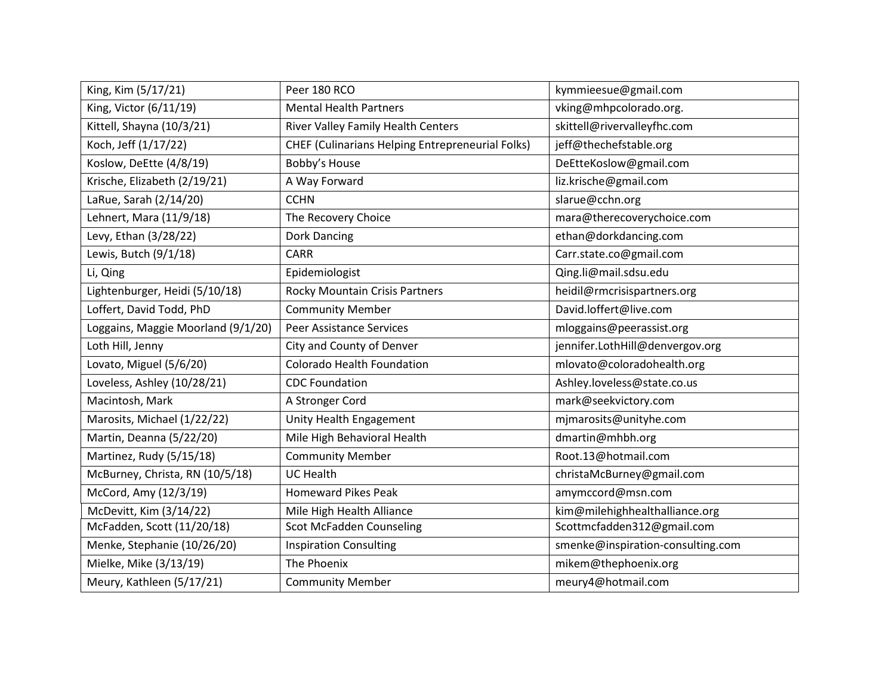| King, Kim (5/17/21)                | Peer 180 RCO                                            | kymmieesue@gmail.com              |
|------------------------------------|---------------------------------------------------------|-----------------------------------|
| King, Victor (6/11/19)             | <b>Mental Health Partners</b>                           | vking@mhpcolorado.org.            |
| Kittell, Shayna (10/3/21)          | River Valley Family Health Centers                      | skittell@rivervalleyfhc.com       |
| Koch, Jeff (1/17/22)               | <b>CHEF (Culinarians Helping Entrepreneurial Folks)</b> | jeff@thechefstable.org            |
| Koslow, DeEtte (4/8/19)            | Bobby's House                                           | DeEtteKoslow@gmail.com            |
| Krische, Elizabeth (2/19/21)       | A Way Forward                                           | liz.krische@gmail.com             |
| LaRue, Sarah (2/14/20)             | <b>CCHN</b>                                             | slarue@cchn.org                   |
| Lehnert, Mara (11/9/18)            | The Recovery Choice                                     | mara@therecoverychoice.com        |
| Levy, Ethan (3/28/22)              | Dork Dancing                                            | ethan@dorkdancing.com             |
| Lewis, Butch (9/1/18)              | <b>CARR</b>                                             | Carr.state.co@gmail.com           |
| Li, Qing                           | Epidemiologist                                          | Qing.li@mail.sdsu.edu             |
| Lightenburger, Heidi (5/10/18)     | Rocky Mountain Crisis Partners                          | heidil@rmcrisispartners.org       |
| Loffert, David Todd, PhD           | <b>Community Member</b>                                 | David.loffert@live.com            |
| Loggains, Maggie Moorland (9/1/20) | <b>Peer Assistance Services</b>                         | mloggains@peerassist.org          |
| Loth Hill, Jenny                   | City and County of Denver                               | jennifer.LothHill@denvergov.org   |
| Lovato, Miguel (5/6/20)            | Colorado Health Foundation                              | mlovato@coloradohealth.org        |
| Loveless, Ashley (10/28/21)        | <b>CDC Foundation</b>                                   | Ashley.loveless@state.co.us       |
| Macintosh, Mark                    | A Stronger Cord                                         | mark@seekvictory.com              |
| Marosits, Michael (1/22/22)        | Unity Health Engagement                                 | mjmarosits@unityhe.com            |
| Martin, Deanna (5/22/20)           | Mile High Behavioral Health                             | dmartin@mhbh.org                  |
| Martinez, Rudy (5/15/18)           | <b>Community Member</b>                                 | Root.13@hotmail.com               |
| McBurney, Christa, RN (10/5/18)    | <b>UC Health</b>                                        | christaMcBurney@gmail.com         |
| McCord, Amy (12/3/19)              | <b>Homeward Pikes Peak</b>                              | amymccord@msn.com                 |
| McDevitt, Kim (3/14/22)            | Mile High Health Alliance                               | kim@milehighhealthalliance.org    |
| McFadden, Scott (11/20/18)         | <b>Scot McFadden Counseling</b>                         | Scottmcfadden312@gmail.com        |
| Menke, Stephanie (10/26/20)        | <b>Inspiration Consulting</b>                           | smenke@inspiration-consulting.com |
| Mielke, Mike (3/13/19)             | The Phoenix                                             | mikem@thephoenix.org              |
| Meury, Kathleen (5/17/21)          | <b>Community Member</b>                                 | meury4@hotmail.com                |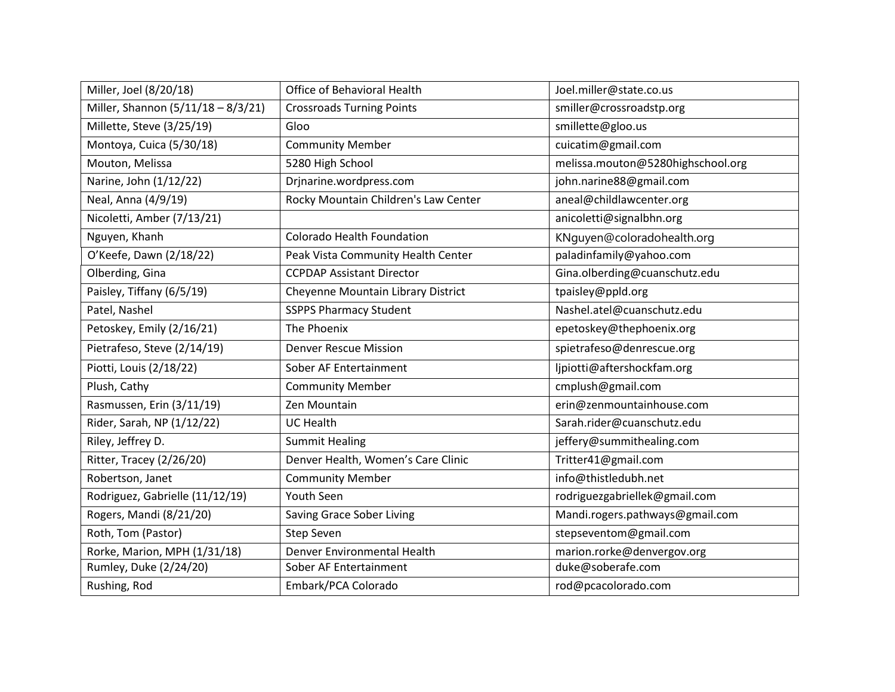| Miller, Joel (8/20/18)             | Office of Behavioral Health          | Joel.miller@state.co.us           |
|------------------------------------|--------------------------------------|-----------------------------------|
| Miller, Shannon (5/11/18 - 8/3/21) | <b>Crossroads Turning Points</b>     | smiller@crossroadstp.org          |
| Millette, Steve (3/25/19)          | Gloo                                 | smillette@gloo.us                 |
| Montoya, Cuica (5/30/18)           | <b>Community Member</b>              | cuicatim@gmail.com                |
| Mouton, Melissa                    | 5280 High School                     | melissa.mouton@5280highschool.org |
| Narine, John (1/12/22)             | Drjnarine.wordpress.com              | john.narine88@gmail.com           |
| Neal, Anna (4/9/19)                | Rocky Mountain Children's Law Center | aneal@childlawcenter.org          |
| Nicoletti, Amber (7/13/21)         |                                      | anicoletti@signalbhn.org          |
| Nguyen, Khanh                      | Colorado Health Foundation           | KNguyen@coloradohealth.org        |
| O'Keefe, Dawn (2/18/22)            | Peak Vista Community Health Center   | paladinfamily@yahoo.com           |
| Olberding, Gina                    | <b>CCPDAP Assistant Director</b>     | Gina.olberding@cuanschutz.edu     |
| Paisley, Tiffany (6/5/19)          | Cheyenne Mountain Library District   | tpaisley@ppld.org                 |
| Patel, Nashel                      | <b>SSPPS Pharmacy Student</b>        | Nashel.atel@cuanschutz.edu        |
| Petoskey, Emily (2/16/21)          | The Phoenix                          | epetoskey@thephoenix.org          |
| Pietrafeso, Steve (2/14/19)        | <b>Denver Rescue Mission</b>         | spietrafeso@denrescue.org         |
| Piotti, Louis (2/18/22)            | Sober AF Entertainment               | ljpiotti@aftershockfam.org        |
| Plush, Cathy                       | <b>Community Member</b>              | cmplush@gmail.com                 |
| Rasmussen, Erin (3/11/19)          | Zen Mountain                         | erin@zenmountainhouse.com         |
| Rider, Sarah, NP (1/12/22)         | <b>UC Health</b>                     | Sarah.rider@cuanschutz.edu        |
| Riley, Jeffrey D.                  | <b>Summit Healing</b>                | jeffery@summithealing.com         |
| Ritter, Tracey (2/26/20)           | Denver Health, Women's Care Clinic   | Tritter41@gmail.com               |
| Robertson, Janet                   | <b>Community Member</b>              | info@thistledubh.net              |
| Rodriguez, Gabrielle (11/12/19)    | Youth Seen                           | rodriguezgabriellek@gmail.com     |
| Rogers, Mandi (8/21/20)            | Saving Grace Sober Living            | Mandi.rogers.pathways@gmail.com   |
| Roth, Tom (Pastor)                 | Step Seven                           | stepseventom@gmail.com            |
| Rorke, Marion, MPH (1/31/18)       | Denver Environmental Health          | marion.rorke@denvergov.org        |
| Rumley, Duke (2/24/20)             | Sober AF Entertainment               | duke@soberafe.com                 |
| Rushing, Rod                       | Embark/PCA Colorado                  | rod@pcacolorado.com               |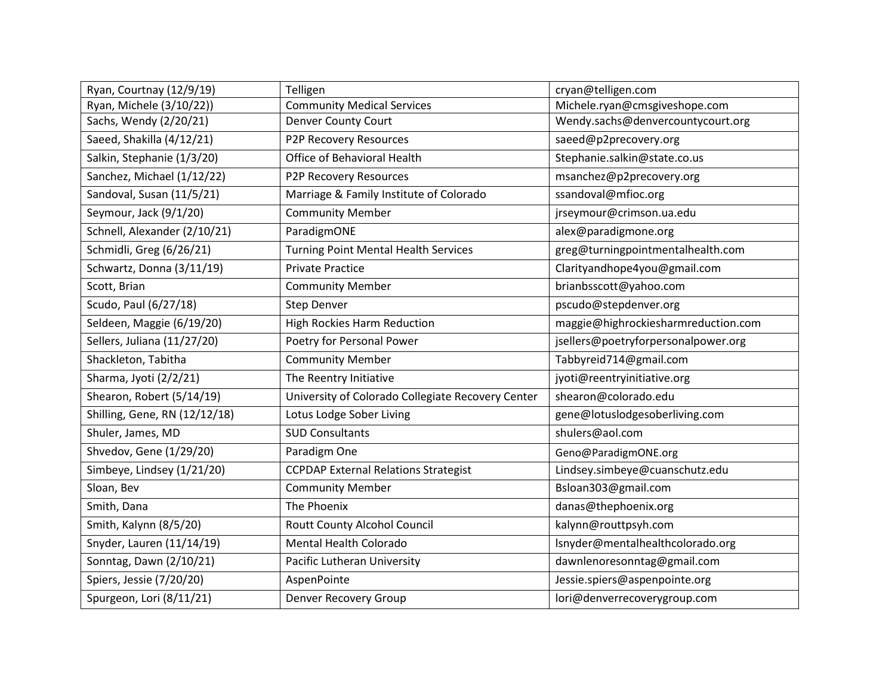| Ryan, Courtnay (12/9/19)      | Telligen                                          | cryan@telligen.com                  |
|-------------------------------|---------------------------------------------------|-------------------------------------|
| Ryan, Michele (3/10/22))      | <b>Community Medical Services</b>                 | Michele.ryan@cmsgiveshope.com       |
| Sachs, Wendy (2/20/21)        | <b>Denver County Court</b>                        | Wendy.sachs@denvercountycourt.org   |
| Saeed, Shakilla (4/12/21)     | P2P Recovery Resources                            | saeed@p2precovery.org               |
| Salkin, Stephanie (1/3/20)    | Office of Behavioral Health                       | Stephanie.salkin@state.co.us        |
| Sanchez, Michael (1/12/22)    | P2P Recovery Resources                            | msanchez@p2precovery.org            |
| Sandoval, Susan (11/5/21)     | Marriage & Family Institute of Colorado           | ssandoval@mfioc.org                 |
| Seymour, Jack (9/1/20)        | <b>Community Member</b>                           | jrseymour@crimson.ua.edu            |
| Schnell, Alexander (2/10/21)  | ParadigmONE                                       | alex@paradigmone.org                |
| Schmidli, Greg (6/26/21)      | <b>Turning Point Mental Health Services</b>       | greg@turningpointmentalhealth.com   |
| Schwartz, Donna (3/11/19)     | <b>Private Practice</b>                           | Clarityandhope4you@gmail.com        |
| Scott, Brian                  | <b>Community Member</b>                           | brianbsscott@yahoo.com              |
| Scudo, Paul (6/27/18)         | <b>Step Denver</b>                                | pscudo@stepdenver.org               |
| Seldeen, Maggie (6/19/20)     | <b>High Rockies Harm Reduction</b>                | maggie@highrockiesharmreduction.com |
| Sellers, Juliana (11/27/20)   | Poetry for Personal Power                         | jsellers@poetryforpersonalpower.org |
| Shackleton, Tabitha           | <b>Community Member</b>                           | Tabbyreid714@gmail.com              |
| Sharma, Jyoti (2/2/21)        | The Reentry Initiative                            | jyoti@reentryinitiative.org         |
| Shearon, Robert (5/14/19)     | University of Colorado Collegiate Recovery Center | shearon@colorado.edu                |
| Shilling, Gene, RN (12/12/18) | Lotus Lodge Sober Living                          | gene@lotuslodgesoberliving.com      |
| Shuler, James, MD             | <b>SUD Consultants</b>                            | shulers@aol.com                     |
| Shvedov, Gene (1/29/20)       | Paradigm One                                      | Geno@ParadigmONE.org                |
| Simbeye, Lindsey (1/21/20)    | <b>CCPDAP External Relations Strategist</b>       | Lindsey.simbeye@cuanschutz.edu      |
| Sloan, Bev                    | <b>Community Member</b>                           | Bsloan303@gmail.com                 |
| Smith, Dana                   | The Phoenix                                       | danas@thephoenix.org                |
| Smith, Kalynn (8/5/20)        | Routt County Alcohol Council                      | kalynn@routtpsyh.com                |
| Snyder, Lauren (11/14/19)     | Mental Health Colorado                            | Isnyder@mentalhealthcolorado.org    |
| Sonntag, Dawn (2/10/21)       | Pacific Lutheran University                       | dawnlenoresonntag@gmail.com         |
| Spiers, Jessie (7/20/20)      | AspenPointe                                       | Jessie.spiers@aspenpointe.org       |
| Spurgeon, Lori (8/11/21)      | Denver Recovery Group                             | lori@denverrecoverygroup.com        |